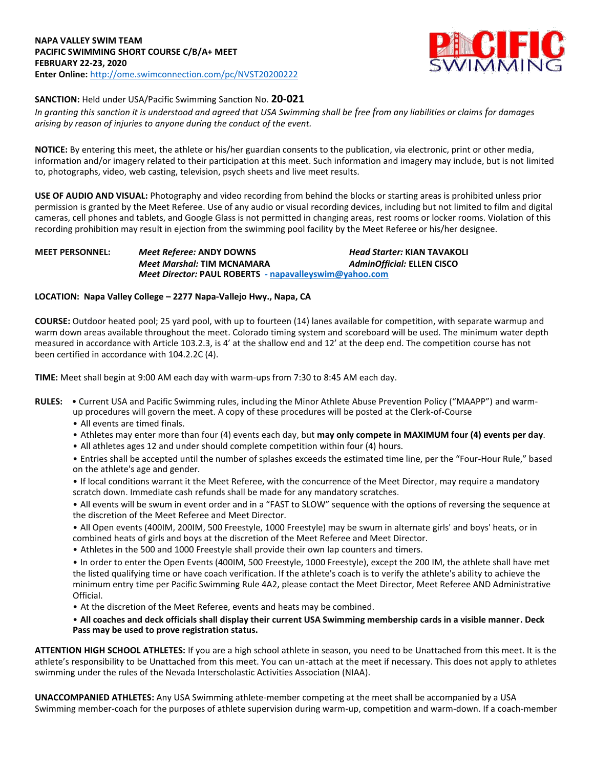

# **SANCTION:** Held under USA/Pacific Swimming Sanction No. **20-021**

*In granting this sanction it is understood and agreed that USA Swimming shall be free from any liabilities or claims for damages arising by reason of injuries to anyone during the conduct of the event.*

**NOTICE:** By entering this meet, the athlete or his/her guardian consents to the publication, via electronic, print or other media, information and/or imagery related to their participation at this meet. Such information and imagery may include, but is not limited to, photographs, video, web casting, television, psych sheets and live meet results.

**USE OF AUDIO AND VISUAL:** Photography and video recording from behind the blocks or starting areas is prohibited unless prior permission is granted by the Meet Referee. Use of any audio or visual recording devices, including but not limited to film and digital cameras, cell phones and tablets, and Google Glass is not permitted in changing areas, rest rooms or locker rooms. Violation of this recording prohibition may result in ejection from the swimming pool facility by the Meet Referee or his/her designee.

## **MEET PERSONNEL:** *Meet Referee:* **ANDY DOWNS** *Head Starter:* **KIAN TAVAKOLI** *Meet Marshal:* **TIM MCNAMARA** *AdminOfficial:* **ELLEN CISCO** *Meet Director:* **PAUL ROBERTS - [napavalleyswim@yahoo.com](mailto:napavalleyswim@yahoo.com)**

### **LOCATION: Napa Valley College – 2277 Napa-Vallejo Hwy., Napa, CA**

**COURSE:** Outdoor heated pool; 25 yard pool, with up to fourteen (14) lanes available for competition, with separate warmup and warm down areas available throughout the meet. Colorado timing system and scoreboard will be used. The minimum water depth measured in accordance with Article 103.2.3, is 4' at the shallow end and 12' at the deep end. The competition course has not been certified in accordance with 104.2.2C (4).

**TIME:** Meet shall begin at 9:00 AM each day with warm-ups from 7:30 to 8:45 AM each day.

- **RULES:** Current USA and Pacific Swimming rules, including the Minor Athlete Abuse Prevention Policy ("MAAPP") and warm
	- up procedures will govern the meet. A copy of these procedures will be posted at the Clerk-of-Course
	- All events are timed finals.
	- Athletes may enter more than four (4) events each day, but **may only compete in MAXIMUM four (4) events per day**.
	- All athletes ages 12 and under should complete competition within four (4) hours.

• Entries shall be accepted until the number of splashes exceeds the estimated time line, per the "Four-Hour Rule," based on the athlete's age and gender.

• If local conditions warrant it the Meet Referee, with the concurrence of the Meet Director, may require a mandatory scratch down. Immediate cash refunds shall be made for any mandatory scratches.

• All events will be swum in event order and in a "FAST to SLOW" sequence with the options of reversing the sequence at the discretion of the Meet Referee and Meet Director.

- All Open events (400IM, 200IM, 500 Freestyle, 1000 Freestyle) may be swum in alternate girls' and boys' heats, or in combined heats of girls and boys at the discretion of the Meet Referee and Meet Director.
- Athletes in the 500 and 1000 Freestyle shall provide their own lap counters and timers.

• In order to enter the Open Events (400IM, 500 Freestyle, 1000 Freestyle), except the 200 IM, the athlete shall have met the listed qualifying time or have coach verification. If the athlete's coach is to verify the athlete's ability to achieve the minimum entry time per Pacific Swimming Rule 4A2, please contact the Meet Director, Meet Referee AND Administrative Official.

• At the discretion of the Meet Referee, events and heats may be combined.

• **All coaches and deck officials shall display their current USA Swimming membership cards in a visible manner. Deck Pass may be used to prove registration status.**

**ATTENTION HIGH SCHOOL ATHLETES:** If you are a high school athlete in season, you need to be Unattached from this meet. It is the athlete's responsibility to be Unattached from this meet. You can un-attach at the meet if necessary. This does not apply to athletes swimming under the rules of the Nevada Interscholastic Activities Association (NIAA).

**UNACCOMPANIED ATHLETES:** Any USA Swimming athlete-member competing at the meet shall be accompanied by a USA Swimming member-coach for the purposes of athlete supervision during warm-up, competition and warm-down. If a coach-member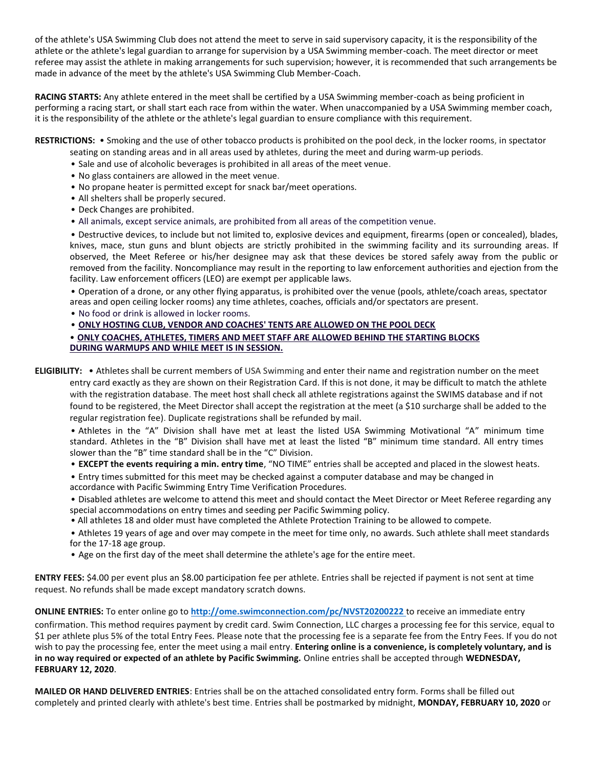of the athlete's USA Swimming Club does not attend the meet to serve in said supervisory capacity, it is the responsibility of the athlete or the athlete's legal guardian to arrange for supervision by a USA Swimming member-coach. The meet director or meet referee may assist the athlete in making arrangements for such supervision; however, it is recommended that such arrangements be made in advance of the meet by the athlete's USA Swimming Club Member-Coach.

**RACING STARTS:** Any athlete entered in the meet shall be certified by a USA Swimming member-coach as being proficient in performing a racing start, or shall start each race from within the water. When unaccompanied by a USA Swimming member coach, it is the responsibility of the athlete or the athlete's legal guardian to ensure compliance with this requirement.

**RESTRICTIONS:** • Smoking and the use of other tobacco products is prohibited on the pool deck, in the locker rooms, in spectator

- seating on standing areas and in all areas used by athletes, during the meet and during warm-up periods.
- Sale and use of alcoholic beverages is prohibited in all areas of the meet venue.
- No glass containers are allowed in the meet venue.
- No propane heater is permitted except for snack bar/meet operations.
- All shelters shall be properly secured.
- Deck Changes are prohibited.
- All animals, except service animals, are prohibited from all areas of the competition venue.

• Destructive devices, to include but not limited to, explosive devices and equipment, firearms (open or concealed), blades, knives, mace, stun guns and blunt objects are strictly prohibited in the swimming facility and its surrounding areas. If observed, the Meet Referee or his/her designee may ask that these devices be stored safely away from the public or removed from the facility. Noncompliance may result in the reporting to law enforcement authorities and ejection from the facility. Law enforcement officers (LEO) are exempt per applicable laws.

• Operation of a drone, or any other flying apparatus, is prohibited over the venue (pools, athlete/coach areas, spectator areas and open ceiling locker rooms) any time athletes, coaches, officials and/or spectators are present.

• No food or drink is allowed in locker rooms.

# • **ONLY HOSTING CLUB, VENDOR AND COACHES' TENTS ARE ALLOWED ON THE POOL DECK**

• **ONLY COACHES, ATHLETES, TIMERS AND MEET STAFF ARE ALLOWED BEHIND THE STARTING BLOCKS DURING WARMUPS AND WHILE MEET IS IN SESSION.**

**ELIGIBILITY:** • Athletes shall be current members of USA Swimming and enter their name and registration number on the meet entry card exactly as they are shown on their Registration Card. If this is not done, it may be difficult to match the athlete with the registration database. The meet host shall check all athlete registrations against the SWIMS database and if not found to be registered, the Meet Director shall accept the registration at the meet (a \$10 surcharge shall be added to the regular registration fee). Duplicate registrations shall be refunded by mail.

• Athletes in the "A" Division shall have met at least the listed USA Swimming Motivational "A" minimum time standard. Athletes in the "B" Division shall have met at least the listed "B" minimum time standard. All entry times slower than the "B" time standard shall be in the "C" Division.

• **EXCEPT the events requiring a min. entry time**, "NO TIME" entries shall be accepted and placed in the slowest heats.

• Entry times submitted for this meet may be checked against a computer database and may be changed in accordance with Pacific Swimming Entry Time Verification Procedures.

• Disabled athletes are welcome to attend this meet and should contact the Meet Director or Meet Referee regarding any special accommodations on entry times and seeding per Pacific Swimming policy.

• All athletes 18 and older must have completed the Athlete Protection Training to be allowed to compete.

• Athletes 19 years of age and over may compete in the meet for time only, no awards. Such athlete shall meet standards for the 17-18 age group.

• Age on the first day of the meet shall determine the athlete's age for the entire meet.

**ENTRY FEES:** \$4.00 per event plus an \$8.00 participation fee per athlete. Entries shall be rejected if payment is not sent at time request. No refunds shall be made except mandatory scratch downs.

**ONLINE ENTRIES:** To enter online go to **<http://ome.swimconnection.com/pc/NVST20200222>**to receive an immediate entry

confirmation. This method requires payment by credit card. Swim Connection, LLC charges a processing fee for this service, equal to \$1 per athlete plus 5% of the total Entry Fees. Please note that the processing fee is a separate fee from the Entry Fees. If you do not wish to pay the processing fee, enter the meet using a mail entry. **Entering online is a convenience, is completely voluntary, and is in no way required or expected of an athlete by Pacific Swimming.** Online entries shall be accepted through **WEDNESDAY, FEBRUARY 12, 2020**.

**MAILED OR HAND DELIVERED ENTRIES**: Entries shall be on the attached consolidated entry form. Forms shall be filled out completely and printed clearly with athlete's best time. Entries shall be postmarked by midnight, **MONDAY, FEBRUARY 10, 2020** or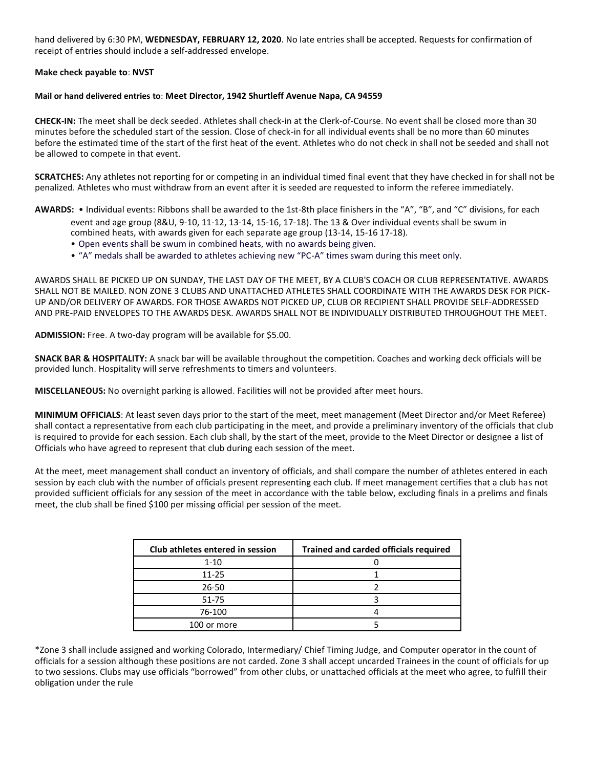hand delivered by 6:30 PM, **WEDNESDAY, FEBRUARY 12, 2020**. No late entries shall be accepted. Requests for confirmation of receipt of entries should include a self-addressed envelope.

#### **Make check payable to**: **NVST**

#### **Mail or hand delivered entries to**: **Meet Director, 1942 Shurtleff Avenue Napa, CA 94559**

**CHECK-IN:** The meet shall be deck seeded. Athletes shall check-in at the Clerk-of-Course. No event shall be closed more than 30 minutes before the scheduled start of the session. Close of check-in for all individual events shall be no more than 60 minutes before the estimated time of the start of the first heat of the event. Athletes who do not check in shall not be seeded and shall not be allowed to compete in that event.

**SCRATCHES:** Any athletes not reporting for or competing in an individual timed final event that they have checked in for shall not be penalized. Athletes who must withdraw from an event after it is seeded are requested to inform the referee immediately.

**AWARDS:** • Individual events: Ribbons shall be awarded to the 1st-8th place finishers in the "A", "B", and "C" divisions, for each event and age group (8&U, 9-10, 11-12, 13-14, 15-16, 17-18). The 13 & Over individual events shall be swum in combined heats, with awards given for each separate age group (13-14, 15-16 17-18).

- Open events shall be swum in combined heats, with no awards being given.
- "A" medals shall be awarded to athletes achieving new "PC-A" times swam during this meet only.

AWARDS SHALL BE PICKED UP ON SUNDAY, THE LAST DAY OF THE MEET, BY A CLUB'S COACH OR CLUB REPRESENTATIVE. AWARDS SHALL NOT BE MAILED. NON ZONE 3 CLUBS AND UNATTACHED ATHLETES SHALL COORDINATE WITH THE AWARDS DESK FOR PICK-UP AND/OR DELIVERY OF AWARDS. FOR THOSE AWARDS NOT PICKED UP, CLUB OR RECIPIENT SHALL PROVIDE SELF-ADDRESSED AND PRE-PAID ENVELOPES TO THE AWARDS DESK. AWARDS SHALL NOT BE INDIVIDUALLY DISTRIBUTED THROUGHOUT THE MEET.

**ADMISSION:** Free. A two-day program will be available for \$5.00.

**SNACK BAR & HOSPITALITY:** A snack bar will be available throughout the competition. Coaches and working deck officials will be provided lunch. Hospitality will serve refreshments to timers and volunteers.

**MISCELLANEOUS:** No overnight parking is allowed. Facilities will not be provided after meet hours.

**MINIMUM OFFICIALS**: At least seven days prior to the start of the meet, meet management (Meet Director and/or Meet Referee) shall contact a representative from each club participating in the meet, and provide a preliminary inventory of the officials that club is required to provide for each session. Each club shall, by the start of the meet, provide to the Meet Director or designee a list of Officials who have agreed to represent that club during each session of the meet.

At the meet, meet management shall conduct an inventory of officials, and shall compare the number of athletes entered in each session by each club with the number of officials present representing each club. If meet management certifies that a club has not provided sufficient officials for any session of the meet in accordance with the table below, excluding finals in a prelims and finals meet, the club shall be fined \$100 per missing official per session of the meet.

| Club athletes entered in session | <b>Trained and carded officials required</b> |
|----------------------------------|----------------------------------------------|
| $1 - 10$                         |                                              |
| $11 - 25$                        |                                              |
| 26-50                            |                                              |
| 51-75                            |                                              |
| 76-100                           |                                              |
| 100 or more                      |                                              |

\*Zone 3 shall include assigned and working Colorado, Intermediary/ Chief Timing Judge, and Computer operator in the count of officials for a session although these positions are not carded. Zone 3 shall accept uncarded Trainees in the count of officials for up to two sessions. Clubs may use officials "borrowed" from other clubs, or unattached officials at the meet who agree, to fulfill their obligation under the rule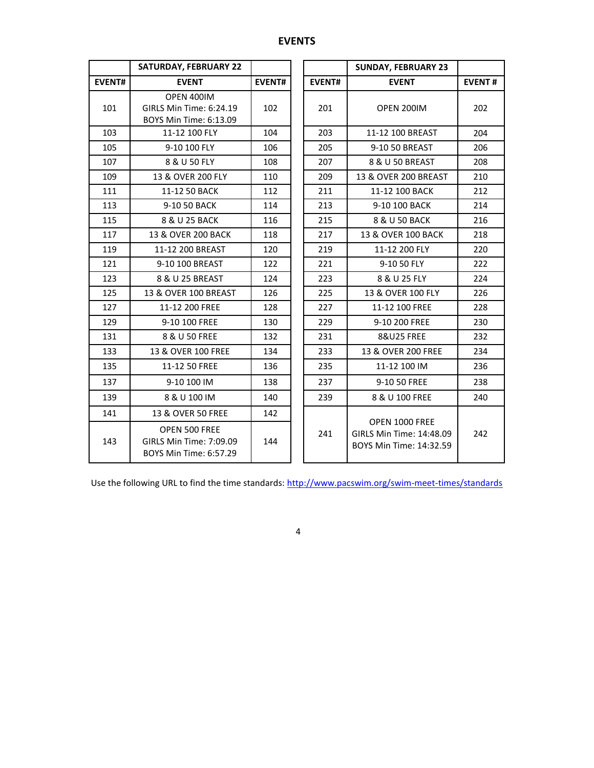# **EVENTS**

|               | <b>SATURDAY, FEBRUARY 22</b>                                       |               |               | <b>SUNDAY, FEBRUARY 23</b>                                            |               |
|---------------|--------------------------------------------------------------------|---------------|---------------|-----------------------------------------------------------------------|---------------|
| <b>EVENT#</b> | <b>EVENT</b>                                                       | <b>EVENT#</b> | <b>EVENT#</b> | <b>EVENT</b>                                                          | <b>EVENT#</b> |
| 101           | OPEN 400IM<br>GIRLS Min Time: 6:24.19<br>BOYS Min Time: 6:13.09    | 102           | 201           | OPEN 200IM                                                            | 202           |
| 103           | 11-12 100 FLY                                                      | 104           | 203           | 11-12 100 BREAST                                                      | 204           |
| 105           | 9-10 100 FLY                                                       | 106           | 205           | 9-10 50 BREAST                                                        | 206           |
| 107           | 8 & U 50 FLY                                                       | 108           | 207           | 8 & U 50 BREAST                                                       | 208           |
| 109           | 13 & OVER 200 FLY                                                  | 110           | 209           | 13 & OVER 200 BREAST                                                  | 210           |
| 111           | 11-12 50 BACK                                                      | 112           | 211           | 11-12 100 BACK                                                        | 212           |
| 113           | 9-10 50 BACK                                                       | 114           | 213           | 9-10 100 BACK                                                         | 214           |
| 115           | 8 & U 25 BACK                                                      | 116           | 215           | 8 & U 50 BACK                                                         | 216           |
| 117           | 13 & OVER 200 BACK                                                 | 118           | 217           | 13 & OVER 100 BACK                                                    | 218           |
| 119           | 11-12 200 BREAST                                                   | 120           | 219           | 11-12 200 FLY                                                         |               |
| 121           | 9-10 100 BREAST                                                    | 122           | 221           | 9-10 50 FLY                                                           | 222           |
| 123           | 8 & U 25 BREAST                                                    | 124           | 223           | 8 & U 25 FLY                                                          | 224           |
| 125           | 13 & OVER 100 BREAST                                               | 126           | 225           | 13 & OVER 100 FLY                                                     | 226           |
| 127           | 11-12 200 FREE                                                     | 128           | 227           | 11-12 100 FREE                                                        | 228           |
| 129           | 9-10 100 FREE                                                      | 130           | 229           | 9-10 200 FREE                                                         | 230           |
| 131           | 8 & U 50 FREE                                                      | 132           | 231           | <b>8&amp;U25 FREE</b>                                                 | 232           |
| 133           | 13 & OVER 100 FREE                                                 | 134           | 233           | 13 & OVER 200 FREE                                                    | 234           |
| 135           | 11-12 50 FREE                                                      | 136           | 235           | 11-12 100 IM                                                          | 236           |
| 137           | 9-10 100 IM                                                        | 138           | 237           | 9-10 50 FREE                                                          | 238           |
| 139           | 8 & U 100 IM                                                       | 140           | 239           | 8 & U 100 FREE                                                        | 240           |
| 141           | 13 & OVER 50 FREE                                                  | 142           |               |                                                                       |               |
| 143           | OPEN 500 FREE<br>GIRLS Min Time: 7:09.09<br>BOYS Min Time: 6:57.29 | 144           | 241           | OPEN 1000 FREE<br>GIRLS Min Time: 14:48.09<br>BOYS Min Time: 14:32.59 | 242           |

Use the following URL to find the time standards:<http://www.pacswim.org/swim-meet-times/standards>